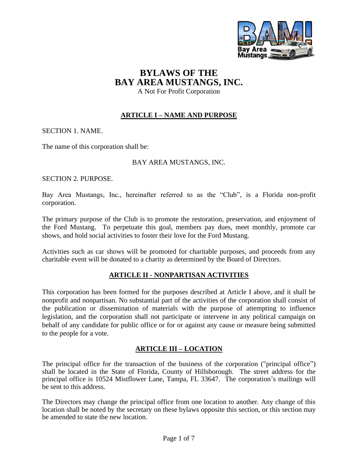

# **BYLAWS OF THE BAY AREA MUSTANGS, INC.**

A Not For Profit Corporation

## **ARTICLE I – NAME AND PURPOSE**

SECTION 1. NAME.

The name of this corporation shall be:

## BAY AREA MUSTANGS, INC.

SECTION 2. PURPOSE.

Bay Area Mustangs, Inc., hereinafter referred to as the "Club", is a Florida non-profit corporation.

The primary purpose of the Club is to promote the restoration, preservation, and enjoyment of the Ford Mustang. To perpetuate this goal, members pay dues, meet monthly, promote car shows, and hold social activities to foster their love for the Ford Mustang.

Activities such as car shows will be promoted for charitable purposes, and proceeds from any charitable event will be donated to a charity as determined by the Board of Directors.

## **ARTICLE II - NONPARTISAN ACTIVITIES**

This corporation has been formed for the purposes described at Article I above, and it shall be nonprofit and nonpartisan. No substantial part of the activities of the corporation shall consist of the publication or dissemination of materials with the purpose of attempting to influence legislation, and the corporation shall not participate or intervene in any political campaign on behalf of any candidate for public office or for or against any cause or measure being submitted to the people for a vote.

## **ARTICLE III – LOCATION**

The principal office for the transaction of the business of the corporation ("principal office") shall be located in the State of Florida, County of Hillsborough. The street address for the principal office is 10524 Mistflower Lane, Tampa, FL 33647. The corporation's mailings will be sent to this address.

The Directors may change the principal office from one location to another. Any change of this location shall be noted by the secretary on these bylaws opposite this section, or this section may be amended to state the new location.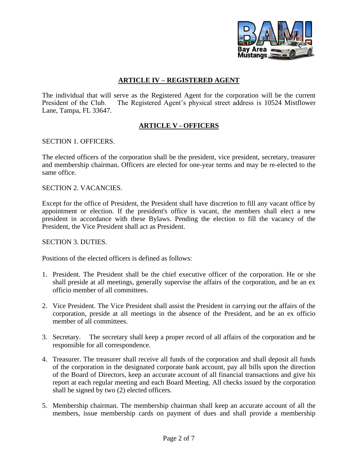

## **ARTICLE IV – REGISTERED AGENT**

The individual that will serve as the Registered Agent for the corporation will be the current President of the Club. The Registered Agent's physical street address is 10524 Mistflower The Registered Agent's physical street address is 10524 Mistflower Lane, Tampa, FL 33647.

## **ARTICLE V - OFFICERS**

#### SECTION 1. OFFICERS.

The elected officers of the corporation shall be the president, vice president, secretary, treasurer and membership chairman. Officers are elected for one-year terms and may be re-elected to the same office.

#### SECTION 2. VACANCIES.

Except for the office of President, the President shall have discretion to fill any vacant office by appointment or election. If the president's office is vacant, the members shall elect a new president in accordance with these Bylaws. Pending the election to fill the vacancy of the President, the Vice President shall act as President.

#### SECTION 3. DUTIES.

Positions of the elected officers is defined as follows:

- 1. President. The President shall be the chief executive officer of the corporation. He or she shall preside at all meetings, generally supervise the affairs of the corporation, and be an ex officio member of all committees.
- 2. Vice President. The Vice President shall assist the President in carrying out the affairs of the corporation, preside at all meetings in the absence of the President, and be an ex officio member of all committees.
- 3. Secretary. The secretary shall keep a proper record of all affairs of the corporation and be responsible for all correspondence.
- 4. Treasurer. The treasurer shall receive all funds of the corporation and shall deposit all funds of the corporation in the designated corporate bank account, pay all bills upon the direction of the Board of Directors, keep an accurate account of all financial transactions and give his report at each regular meeting and each Board Meeting. All checks issued by the corporation shall be signed by two (2) elected officers.
- 5. Membership chairman. The membership chairman shall keep an accurate account of all the members, issue membership cards on payment of dues and shall provide a membership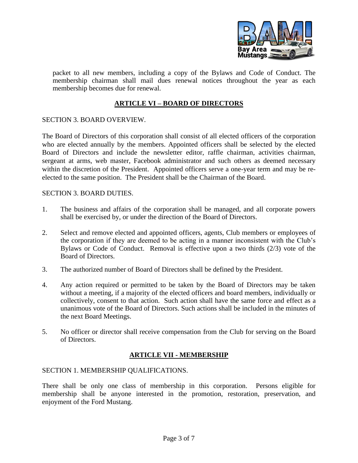

packet to all new members, including a copy of the Bylaws and Code of Conduct. The membership chairman shall mail dues renewal notices throughout the year as each membership becomes due for renewal.

## **ARTICLE VI – BOARD OF DIRECTORS**

## SECTION 3. BOARD OVERVIEW.

The Board of Directors of this corporation shall consist of all elected officers of the corporation who are elected annually by the members. Appointed officers shall be selected by the elected Board of Directors and include the newsletter editor, raffle chairman, activities chairman, sergeant at arms, web master, Facebook administrator and such others as deemed necessary within the discretion of the President. Appointed officers serve a one-year term and may be reelected to the same position. The President shall be the Chairman of the Board.

## SECTION 3. BOARD DUTIES.

- 1. The business and affairs of the corporation shall be managed, and all corporate powers shall be exercised by, or under the direction of the Board of Directors.
- 2. Select and remove elected and appointed officers, agents, Club members or employees of the corporation if they are deemed to be acting in a manner inconsistent with the Club's Bylaws or Code of Conduct. Removal is effective upon a two thirds (2/3) vote of the Board of Directors.
- 3. The authorized number of Board of Directors shall be defined by the President.
- 4. Any action required or permitted to be taken by the Board of Directors may be taken without a meeting, if a majority of the elected officers and board members, individually or collectively, consent to that action. Such action shall have the same force and effect as a unanimous vote of the Board of Directors. Such actions shall be included in the minutes of the next Board Meetings.
- 5. No officer or director shall receive compensation from the Club for serving on the Board of Directors.

## **ARTICLE VII - MEMBERSHIP**

#### SECTION 1. MEMBERSHIP QUALIFICATIONS.

There shall be only one class of membership in this corporation. Persons eligible for membership shall be anyone interested in the promotion, restoration, preservation, and enjoyment of the Ford Mustang.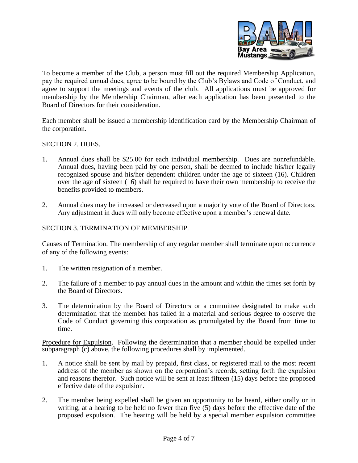

To become a member of the Club, a person must fill out the required Membership Application, pay the required annual dues, agree to be bound by the Club's Bylaws and Code of Conduct, and agree to support the meetings and events of the club. All applications must be approved for membership by the Membership Chairman, after each application has been presented to the Board of Directors for their consideration.

Each member shall be issued a membership identification card by the Membership Chairman of the corporation.

#### SECTION 2. DUES.

- 1. Annual dues shall be \$25.00 for each individual membership. Dues are nonrefundable. Annual dues, having been paid by one person, shall be deemed to include his/her legally recognized spouse and his/her dependent children under the age of sixteen (16). Children over the age of sixteen (16) shall be required to have their own membership to receive the benefits provided to members.
- 2. Annual dues may be increased or decreased upon a majority vote of the Board of Directors. Any adjustment in dues will only become effective upon a member's renewal date.

#### SECTION 3. TERMINATION OF MEMBERSHIP.

Causes of Termination. The membership of any regular member shall terminate upon occurrence of any of the following events:

- 1. The written resignation of a member.
- 2. The failure of a member to pay annual dues in the amount and within the times set forth by the Board of Directors.
- 3. The determination by the Board of Directors or a committee designated to make such determination that the member has failed in a material and serious degree to observe the Code of Conduct governing this corporation as promulgated by the Board from time to time.

Procedure for Expulsion. Following the determination that a member should be expelled under subparagraph (c) above, the following procedures shall by implemented.

- 1. A notice shall be sent by mail by prepaid, first class, or registered mail to the most recent address of the member as shown on the corporation's records, setting forth the expulsion and reasons therefor. Such notice will be sent at least fifteen (15) days before the proposed effective date of the expulsion.
- 2. The member being expelled shall be given an opportunity to be heard, either orally or in writing, at a hearing to be held no fewer than five (5) days before the effective date of the proposed expulsion. The hearing will be held by a special member expulsion committee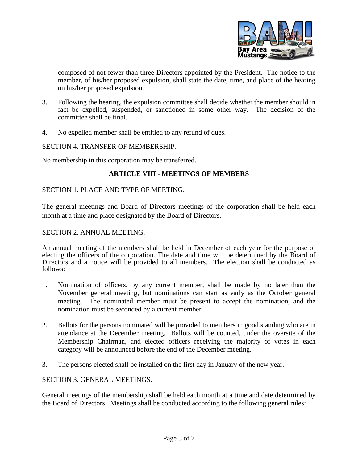

composed of not fewer than three Directors appointed by the President. The notice to the member, of his/her proposed expulsion, shall state the date, time, and place of the hearing on his/her proposed expulsion.

- 3. Following the hearing, the expulsion committee shall decide whether the member should in fact be expelled, suspended, or sanctioned in some other way. The decision of the committee shall be final.
- 4. No expelled member shall be entitled to any refund of dues.

#### SECTION 4. TRANSFER OF MEMBERSHIP.

No membership in this corporation may be transferred.

## **ARTICLE VIII - MEETINGS OF MEMBERS**

## SECTION 1. PLACE AND TYPE OF MEETING.

The general meetings and Board of Directors meetings of the corporation shall be held each month at a time and place designated by the Board of Directors.

#### SECTION 2. ANNUAL MEETING.

An annual meeting of the members shall be held in December of each year for the purpose of electing the officers of the corporation. The date and time will be determined by the Board of Directors and a notice will be provided to all members. The election shall be conducted as follows:

- 1. Nomination of officers, by any current member, shall be made by no later than the November general meeting, but nominations can start as early as the October general meeting. The nominated member must be present to accept the nomination, and the nomination must be seconded by a current member.
- 2. Ballots for the persons nominated will be provided to members in good standing who are in attendance at the December meeting. Ballots will be counted, under the oversite of the Membership Chairman, and elected officers receiving the majority of votes in each category will be announced before the end of the December meeting.
- 3. The persons elected shall be installed on the first day in January of the new year.

#### SECTION 3. GENERAL MEETINGS.

General meetings of the membership shall be held each month at a time and date determined by the Board of Directors. Meetings shall be conducted according to the following general rules: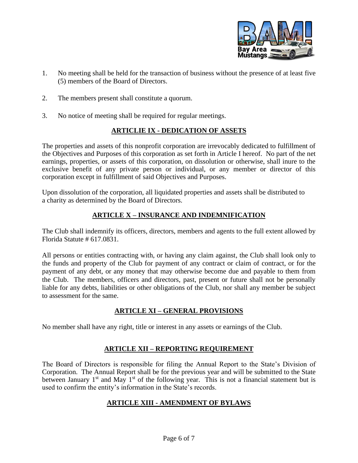

- 1. No meeting shall be held for the transaction of business without the presence of at least five (5) members of the Board of Directors.
- 2. The members present shall constitute a quorum.
- 3. No notice of meeting shall be required for regular meetings.

## **ARTICLIE IX - DEDICATION OF ASSETS**

The properties and assets of this nonprofit corporation are irrevocably dedicated to fulfillment of the Objectives and Purposes of this corporation as set forth in Article I hereof. No part of the net earnings, properties, or assets of this corporation, on dissolution or otherwise, shall inure to the exclusive benefit of any private person or individual, or any member or director of this corporation except in fulfillment of said Objectives and Purposes.

Upon dissolution of the corporation, all liquidated properties and assets shall be distributed to a charity as determined by the Board of Directors.

## **ARTICLE X – INSURANCE AND INDEMNIFICATION**

The Club shall indemnify its officers, directors, members and agents to the full extent allowed by Florida Statute # 617.0831.

All persons or entities contracting with, or having any claim against, the Club shall look only to the funds and property of the Club for payment of any contract or claim of contract, or for the payment of any debt, or any money that may otherwise become due and payable to them from the Club. The members, officers and directors, past, present or future shall not be personally liable for any debts, liabilities or other obligations of the Club, nor shall any member be subject to assessment for the same.

## **ARTICLE XI – GENERAL PROVISIONS**

No member shall have any right, title or interest in any assets or earnings of the Club.

## **ARTICLE XII – REPORTING REQUIREMENT**

The Board of Directors is responsible for filing the Annual Report to the State's Division of Corporation. The Annual Report shall be for the previous year and will be submitted to the State between January  $1<sup>st</sup>$  and May  $1<sup>st</sup>$  of the following year. This is not a financial statement but is used to confirm the entity's information in the State's records.

## **ARTICLE XIII - AMENDMENT OF BYLAWS**